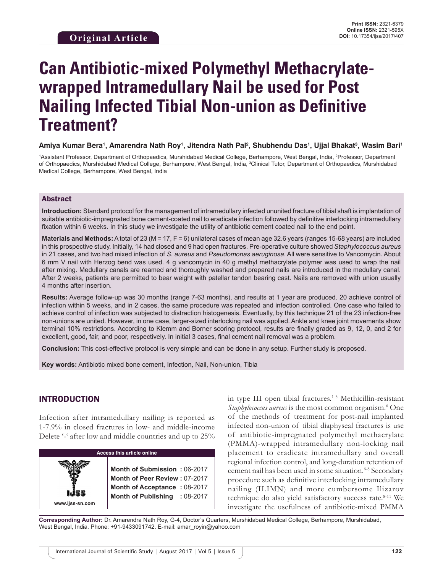# **Can Antibiotic-mixed Polymethyl Methacrylatewrapped Intramedullary Nail be used for Post Nailing Infected Tibial Non-union as Definitive Treatment?**

#### Amiya Kumar Bera<sup>ı</sup>, Amarendra Nath Roy<sup>ı</sup>, Jitendra Nath Pal<sup>2</sup>, Shubhendu Das<sup>ı</sup>, Ujjal Bhakat<sup>3</sup>, Wasim Bari'

1Assistant Professor, Department of Orthopaedics, Murshidabad Medical College, Berhampore, West Bengal, India, <sup>2</sup>Professor, Department of Orthopaedics, Murshidabad Medical College, Berhampore, West Bengal, India, <sup>3</sup>Clinical Tutor, Department of Orthopaedics, Murshidabad Medical College, Berhampore, West Bengal, India

#### Abstract

**Introduction:** Standard protocol for the management of intramedullary infected ununited fracture of tibial shaft is implantation of suitable antibiotic-impregnated bone cement-coated nail to eradicate infection followed by definitive interlocking intramedullary fixation within 6 weeks. In this study we investigate the utility of antibiotic cement coated nail to the end point.

**Materials and Methods:** A total of 23 (M = 17, F = 6) unilateral cases of mean age 32.6 years (ranges 15-68 years) are included in this prospective study. Initially, 14 had closed and 9 had open fractures. Pre-operative culture showed *Staphylococcus aureus* in 21 cases, and two had mixed infection of *S. aureus* and *Pseudomonas aeruginosa*. All were sensitive to Vancomycin. About 6 mm V nail with Herzog bend was used. 4 g vancomycin in 40 g methyl methacrylate polymer was used to wrap the nail after mixing. Medullary canals are reamed and thoroughly washed and prepared nails are introduced in the medullary canal. After 2 weeks, patients are permitted to bear weight with patellar tendon bearing cast. Nails are removed with union usually 4 months after insertion.

**Results:** Average follow-up was 30 months (range 7-63 months), and results at 1 year are produced. 20 achieve control of infection within 5 weeks, and in 2 cases, the same procedure was repeated and infection controlled. One case who failed to achieve control of infection was subjected to distraction histogenesis. Eventually, by this technique 21 of the 23 infection-free non-unions are united. However, in one case, larger-sized interlocking nail was applied. Ankle and knee joint movements show terminal 10% restrictions. According to Klemm and Borner scoring protocol, results are finally graded as 9, 12, 0, and 2 for excellent, good, fair, and poor, respectively. In initial 3 cases, final cement nail removal was a problem.

**Conclusion:** This cost-effective protocol is very simple and can be done in any setup. Further study is proposed.

**Key words:** Antibiotic mixed bone cement, Infection, Nail, Non-union, Tibia

### INTRODUCTION

Infection after intramedullary nailing is reported as 1-7.9% in closed fractures in low- and middle-income Delete '-' after low and middle countries and up to 25%

| <b>Access this article online</b> |                                                                                                                                |  |  |  |  |  |
|-----------------------------------|--------------------------------------------------------------------------------------------------------------------------------|--|--|--|--|--|
| www.ijss-sn.com                   | Month of Submission: 06-2017<br>Month of Peer Review: 07-2017<br>Month of Acceptance: 08-2017<br>Month of Publishing : 08-2017 |  |  |  |  |  |

in type III open tibial fractures.<sup>1-5</sup> Methicillin-resistant Staphylococcus aureus is the most common organism.<sup>6</sup> One of the methods of treatment for post-nail implanted infected non-union of tibial diaphyseal fractures is use of antibiotic-impregnated polymethyl methacrylate (PMMA)-wrapped intramedullary non-locking nail placement to eradicate intramedullary and overall regional infection control, and long-duration retention of cement nail has been used in some situation.6-8 Secondary procedure such as definitive interlocking intramedullary nailing (ILIMN) and more cumbersome Ilizarov technique do also yield satisfactory success rate.<sup>8-11</sup> We investigate the usefulness of antibiotic-mixed PMMA

**Corresponding Author:** Dr. Amarendra Nath Roy, G-4, Doctor's Quarters, Murshidabad Medical College, Berhampore, Murshidabad, West Bengal, India. Phone: +91-9433091742. E-mail: amar\_royin@yahoo.com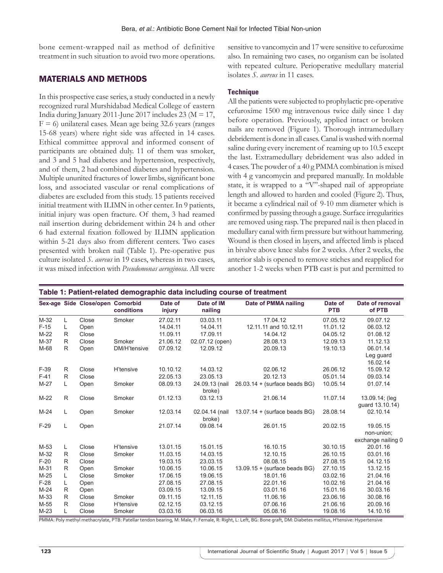bone cement-wrapped nail as method of definitive treatment in such situation to avoid two more operations.

## MATERIALS AND METHODS

In this prospective case series, a study conducted in a newly recognized rural Murshidabad Medical College of eastern India during January 2011-June 2017 includes 23 ( $M = 17$ ,  $F = 6$ ) unilateral cases. Mean age being 32.6 years (ranges 15-68 years) where right side was affected in 14 cases. Ethical committee approval and informed consent of participants are obtained duly. 11 of them was smoker, and 3 and 5 had diabetes and hypertension, respectively, and of them, 2 had combined diabetes and hypertension. Multiple ununited fractures of lower limbs, significant bone loss, and associated vascular or renal complications of diabetes are excluded from this study. 15 patients received initial treatment with ILIMN in other center. In 9 patients, initial injury was open fracture. Of them, 3 had reamed nail insertion during debridement within 24 h and other 6 had external fixation followed by ILIMN application within 5-21 days also from different centers. Two cases presented with broken nail (Table 1). Pre-operative pus culture isolated *S. aureus* in 19 cases, whereas in two cases, it was mixed infection with *Pseudomonas aeruginosa*. All were sensitive to vancomycin and 17 were sensitive to cefuroxime also. In remaining two cases, no organism can be isolated with repeated culture. Perioperative medullary material isolates *S. aureus* in 11 cases.

#### **Technique**

All the patients were subjected to prophylactic pre-operative cefuroxime 1500 mg intravenous twice daily since 1 day before operation. Previously, applied intact or broken nails are removed (Figure 1). Thorough intramedullary debridement is done in all cases. Canal is washed with normal saline during every increment of reaming up to 10.5 except the last. Extramedullary debridement was also added in 4 cases. The powder of a 40 g PMMA combination is mixed with 4 g vancomycin and prepared manually. In moldable state, it is wrapped to a "V"-shaped nail of appropriate length and allowed to harden and cooled (Figure 2). Thus, it became a cylindrical nail of 9-10 mm diameter which is confirmed by passing through a gauge. Surface irregularities are removed using rasp. The prepared nail is then placed in medullary canal with firm pressure but without hammering. Wound is then closed in layers, and affected limb is placed in bivalve above knee slabs for 2 weeks. After 2 weeks, the anterior slab is opened to remove stiches and reapplied for another 1-2 weeks when PTB cast is put and permitted to

| Table 1: Patient-related demographic data including course of treatment |    |                                  |              |                   |                          |                                 |                       |                                              |  |
|-------------------------------------------------------------------------|----|----------------------------------|--------------|-------------------|--------------------------|---------------------------------|-----------------------|----------------------------------------------|--|
|                                                                         |    | Sex-age Side Close/open Comorbid | conditions   | Date of<br>injury | Date of IM<br>nailing    | Date of PMMA nailing            | Date of<br><b>PTB</b> | Date of removal<br>of PTB                    |  |
| $M-32$                                                                  | L  | Close                            | Smoker       | 27.02.11          | 03.03.11                 | 17.04.12                        | 07.05.12              | 09.07.12                                     |  |
| $F-15$                                                                  | L  | Open                             |              | 14.04.11          | 14.04.11                 | 12.11.11 and 10.12.11           | 11.01.12              | 06.03.12                                     |  |
| $M-22$                                                                  | R  | Close                            |              | 11.09.11          | 17.09.11                 | 14.04.12                        | 04.05.12              | 01.08.12                                     |  |
| $M-37$                                                                  | R  | Close                            | Smoker       | 21.06.12          | 02.07.12 (open)          | 28.08.13                        | 12.09.13              | 11.12.13                                     |  |
| M-68                                                                    | R  | Open                             | DM/H'tensive | 07.09.12          | 12.09.12                 | 20.09.13                        | 19.10.13              | 06.01.14                                     |  |
|                                                                         |    |                                  |              |                   |                          |                                 |                       | Leg guard<br>16.02.14                        |  |
| $F-39$                                                                  | R  | Close                            | H'tensive    | 10.10.12          | 14.03.12                 | 02.06.12                        | 26.06.12              | 15.09.12                                     |  |
| $F-41$                                                                  | R  | Close                            |              | 22.05.13          | 23.05.13                 | 20.12.13                        | 05.01.14              | 09.03.14                                     |  |
| $M-27$                                                                  | L. | Open                             | Smoker       | 08.09.13          | 24.09.13 (nail<br>broke) | $26.03.14 +$ (surface beads BG) | 10.05.14              | 01.07.14                                     |  |
| $M-22$                                                                  | R  | Close                            | Smoker       | 01.12.13          | 03.12.13                 | 21.06.14                        | 11.07.14              | 13.09.14; (leg<br>quard 13.10.14)            |  |
| $M-24$                                                                  | L  | Open                             | Smoker       | 12.03.14          | 02.04.14 (nail<br>broke) | $13.07.14 +$ (surface beads BG) | 28.08.14              | 02.10.14                                     |  |
| $F-29$                                                                  | L  | Open                             |              | 21.07.14          | 09.08.14                 | 26.01.15                        | 20.02.15              | 19.05.15<br>non-union;<br>exchange nailing 0 |  |
| $M-53$                                                                  | L  | Close                            | H'tensive    | 13.01.15          | 15.01.15                 | 16.10.15                        | 30.10.15              | 20.01.16                                     |  |
| $M-32$                                                                  | R  | Close                            | Smoker       | 11.03.15          | 14.03.15                 | 12.10.15                        | 26.10.15              | 03.01.16                                     |  |
| $F-20$                                                                  | R  | Close                            |              | 19.03.15          | 23.03.15                 | 08.08.15                        | 27.08.15              | 04.12.15                                     |  |
| $M-31$                                                                  | R  | Open                             | Smoker       | 10.06.15          | 10.06.15                 | $13.09.15 +$ (surface beads BG) | 27.10.15              | 13.12.15                                     |  |
| $M-25$                                                                  | L  | Close                            | Smoker       | 17.06.15          | 19.06.15                 | 18.01.16                        | 03.02.16              | 21.04.16                                     |  |
| $F-28$                                                                  | L  | Open                             |              | 27.08.15          | 27.08.15                 | 22.01.16                        | 10.02.16              | 21.04.16                                     |  |
| $M-24$                                                                  | R  | Open                             |              | 03.09.15          | 13.09.15                 | 03.01.16                        | 15.01.16              | 30.03.16                                     |  |
| $M-33$                                                                  | R  | Close                            | Smoker       | 09.11.15          | 12.11.15                 | 11.06.16                        | 23.06.16              | 30.08.16                                     |  |
| M-55                                                                    | R  | Close                            | H'tensive    | 02.12.15          | 03.12.15                 | 07.06.16                        | 21.06.16              | 20.09.16                                     |  |
| $M-23$                                                                  | L. | Close                            | Smoker       | 03.03.16          | 06.03.16                 | 05.08.16                        | 19.08.16              | 14.10.16                                     |  |

PMMA: Poly methyl methacrylate, PTB: Patellar tendon bearing, M: Male, F: Female, R: Right, L: Left, BG: Bone graft, DM: Diabetes mellitus, H'tensive: Hypertensive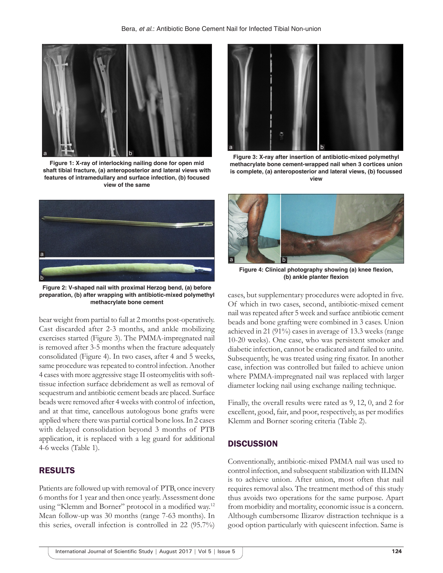

**Figure 1: X-ray of interlocking nailing done for open mid shaft tibial fracture, (a) anteroposterior and lateral views with features of intramedullary and surface infection, (b) focused view of the same**



**Figure 2: V-shaped nail with proximal Herzog bend, (a) before preparation, (b) after wrapping with antibiotic-mixed polymethyl methacrylate bone cement**

bear weight from partial to full at 2 months post-operatively. Cast discarded after 2-3 months, and ankle mobilizing exercises started (Figure 3). The PMMA-impregnated nail is removed after 3-5 months when the fracture adequately consolidated (Figure 4). In two cases, after 4 and 5 weeks, same procedure was repeated to control infection. Another 4 cases with more aggressive stage II osteomyelitis with softtissue infection surface debridement as well as removal of sequestrum and antibiotic cement beads are placed. Surface beads were removed after 4weeks with control of infection, and at that time, cancellous autologous bone grafts were applied where there was partial cortical bone loss. In 2 cases with delayed consolidation beyond 3 months of PTB application, it is replaced with a leg guard for additional 4-6 weeks (Table 1).

### RESULTS

Patients are followed up with removal of PTB, once inevery 6 months for 1 year and then once yearly. Assessment done using "Klemm and Borner" protocol in a modified way.<sup>12</sup> Mean follow-up was 30 months (range 7-63 months). In this series, overall infection is controlled in 22 (95.7%)



**Figure 3: X-ray after insertion of antibiotic-mixed polymethyl methacrylate bone cement-wrapped nail when 3 cortices union is complete, (a) anteroposterior and lateral views, (b) focussed view**



**Figure 4: Clinical photography showing (a) knee flexion, (b) ankle planter flexion**

cases, but supplementary procedures were adopted in five. Of which in two cases, second, antibiotic-mixed cement nail was repeated after 5 week and surface antibiotic cement beads and bone grafting were combined in 3 cases. Union achieved in 21 (91%) cases in average of 13.3 weeks (range 10-20 weeks). One case, who was persistent smoker and diabetic infection, cannot be eradicated and failed to unite. Subsequently, he was treated using ring fixator. In another case, infection was controlled but failed to achieve union where PMMA-impregnated nail was replaced with larger diameter locking nail using exchange nailing technique.

Finally, the overall results were rated as 9, 12, 0, and 2 for excellent, good, fair, and poor, respectively, as per modifies Klemm and Borner scoring criteria (Table 2).

### **DISCUSSION**

Conventionally, antibiotic-mixed PMMA nail was used to control infection, and subsequent stabilization with ILIMN is to achieve union. After union, most often that nail requires removal also. The treatment method of this study thus avoids two operations for the same purpose. Apart from morbidity and mortality, economic issue is a concern. Although cumbersome Ilizarov distraction technique is a good option particularly with quiescent infection. Same is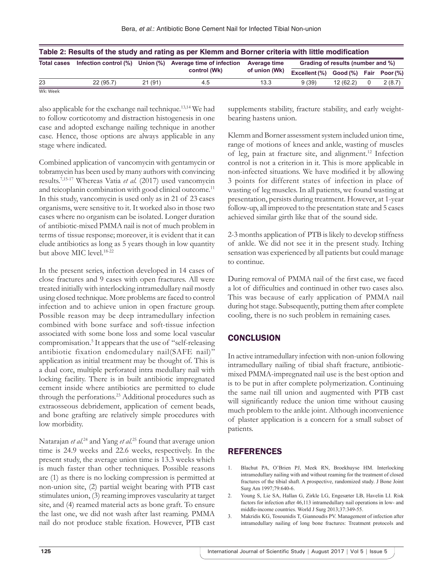| Table 2: Results of the study and rating as per Klemm and Borner criteria with little modification |          |        |                                                                                                 |                               |                                   |                        |  |        |  |  |
|----------------------------------------------------------------------------------------------------|----------|--------|-------------------------------------------------------------------------------------------------|-------------------------------|-----------------------------------|------------------------|--|--------|--|--|
| <b>Total cases</b>                                                                                 |          |        | Infection control $\binom{9}{0}$ Union $\binom{9}{0}$ Average time of infection<br>control (Wk) | Average time<br>of union (Wk) | Grading of results (number and %) |                        |  |        |  |  |
|                                                                                                    |          |        |                                                                                                 |                               | Excellent (%)                     | Good (%) Fair Poor (%) |  |        |  |  |
| 23                                                                                                 | 22(95.7) | 21(91) | 4.5                                                                                             | 13.3                          | 9(39)                             | 12(62.2)               |  | 2(8.7) |  |  |
| Wk: Week                                                                                           |          |        |                                                                                                 |                               |                                   |                        |  |        |  |  |

also applicable for the exchange nail technique.13,14 We had to follow corticotomy and distraction histogenesis in one case and adopted exchange nailing technique in another case. Hence, those options are always applicable in any stage where indicated.

Combined application of vancomycin with gentamycin or tobramycin has been used by many authors with convincing results.7,15-17 Whereas Vatia *et al.* (2017) used vancomycin and teicoplanin combination with good clinical outcome.<sup>11</sup> In this study, vancomycin is used only as in 21 of 23 cases organisms, were sensitive to it. It worked also in those two cases where no organism can be isolated. Longer duration of antibiotic-mixed PMMA nail is not of much problem in terms of tissue response; moreover, it is evident that it can elude antibiotics as long as 5 years though in low quantity but above MIC level.18-22

In the present series, infection developed in 14 cases of close fractures and 9 cases with open fractures. All were treated initially with interlocking intramedullary nail mostly using closed technique. More problems are faced to control infection and to achieve union in open fracture group. Possible reason may be deep intramedullary infection combined with bone surface and soft-tissue infection associated with some bone loss and some local vascular compromisation.5 It appears that the use of "self-releasing antibiotic fixation endomedulary nail(SAFE nail)" application as initial treatment may be thought of. This is a dual core, multiple perforated intra medullary nail with locking facility. There is in built antibiotic impregnated cement inside where antibiotics are permitted to elude through the perforations.<sup>23</sup> Additional procedures such as extraosseous debridement, application of cement beads, and bone grafting are relatively simple procedures with low morbidity.

Natarajan *et al.*24 and Yang *et al.*25 found that average union time is 24.9 weeks and 22.6 weeks, respectively. In the present study, the average union time is 13.3 weeks which is much faster than other techniques. Possible reasons are (1) as there is no locking compression is permitted at non-union site, (2) partial weight bearing with PTB cast stimulates union, (3) reaming improves vascularity at target site, and (4) reamed material acts as bone graft. To ensure the last one, we did not wash after last reaming. PMMA nail do not produce stable fixation. However, PTB cast

supplements stability, fracture stability, and early weightbearing hastens union.

Klemm and Borner assessment system included union time, range of motions of knees and ankle, wasting of muscles of leg, pain at fracture site, and alignment.12 Infection control is not a criterion in it. This is more applicable in non-infected situations. We have modified it by allowing 3 points for different states of infection in place of wasting of leg muscles. In all patients, we found wasting at presentation, persists during treatment. However, at 1-year follow-up, all improved to the presentation state and 5 cases achieved similar girth like that of the sound side.

2-3 months application of PTB is likely to develop stiffness of ankle. We did not see it in the present study. Itching sensation was experienced by all patients but could manage to continue.

During removal of PMMA nail of the first case, we faced a lot of difficulties and continued in other two cases also. This was because of early application of PMMA nail during hot stage. Subsequently, putting them after complete cooling, there is no such problem in remaining cases.

# **CONCLUSION**

In active intramedullary infection with non-union following intramedullary nailing of tibial shaft fracture, antibioticmixed PMMA-impregnated nail use is the best option and is to be put in after complete polymerization. Continuing the same nail till union and augmented with PTB cast will significantly reduce the union time without causing much problem to the ankle joint. Although inconvenience of plaster application is a concern for a small subset of patients.

# REFERENCES

- 1. Blachut PA, O'Brien PJ, Meek RN, Broekhuyse HM. Interlocking intramedullary nailing with and without reaming for the treatment of closed fractures of the tibial shaft. A prospective, randomized study. J Bone Joint Surg Am 1997;79:640-6.
- 2. Young S, Lie SA, Hallan G, Zirkle LG, Engesæter LB, Havelin LI. Risk factors for infection after 46,113 intramedullary nail operations in low- and middle-income countries. World J Surg 2013;37:349-55.
- 3. Makridis KG, Tosounidis T, Giannoudis PV. Management of infection after intramedullary nailing of long bone fractures: Treatment protocols and